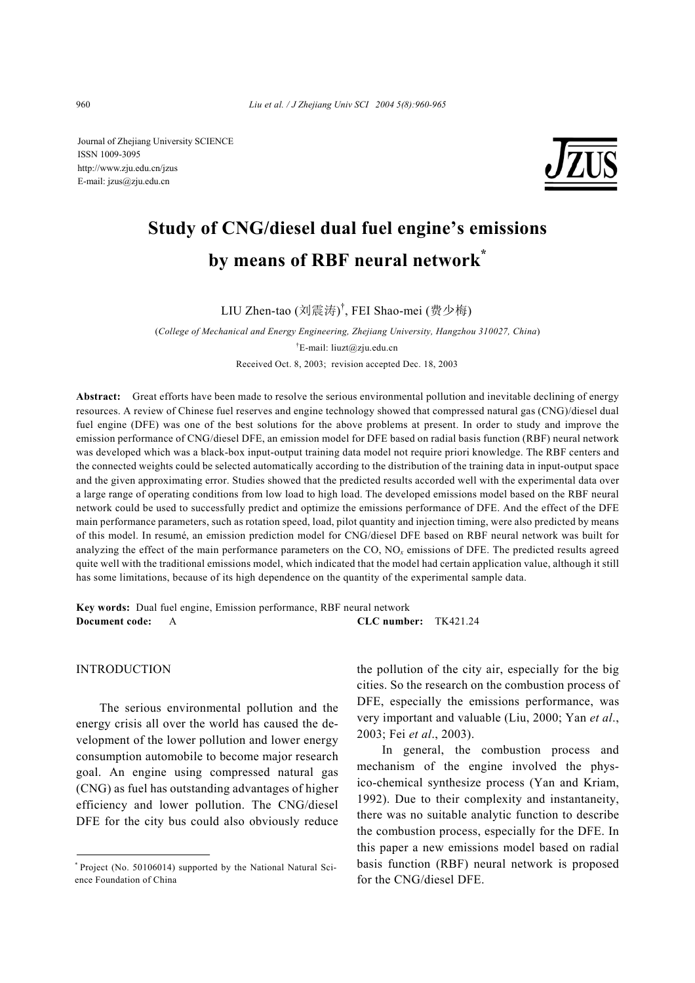Journal of Zhejiang University SCIENCE ISSN 1009-3095 http://www.zju.edu.cn/jzus E-mail: jzus@zju.edu.cn



# **Study of CNG/diesel dual fuel engine's emissions by means of RBF neural network\***

LIU Zhen-tao (刘震涛) † , FEI Shao-mei (费少梅)

(*College of Mechanical and Energy Engineering, Zhejiang University, Hangzhou 310027, China*) † E-mail: liuzt@zju.edu.cn Received Oct. 8, 2003; revision accepted Dec. 18, 2003

**Abstract:** Great efforts have been made to resolve the serious environmental pollution and inevitable declining of energy resources. A review of Chinese fuel reserves and engine technology showed that compressed natural gas (CNG)/diesel dual fuel engine (DFE) was one of the best solutions for the above problems at present. In order to study and improve the emission performance of CNG/diesel DFE, an emission model for DFE based on radial basis function (RBF) neural network was developed which was a black-box input-output training data model not require priori knowledge. The RBF centers and the connected weights could be selected automatically according to the distribution of the training data in input-output space and the given approximating error. Studies showed that the predicted results accorded well with the experimental data over a large range of operating conditions from low load to high load. The developed emissions model based on the RBF neural network could be used to successfully predict and optimize the emissions performance of DFE. And the effect of the DFE main performance parameters, such as rotation speed, load, pilot quantity and injection timing, were also predicted by means of this model. In resumé, an emission prediction model for CNG/diesel DFE based on RBF neural network was built for analyzing the effect of the main performance parameters on the CO, NO*x* emissions of DFE. The predicted results agreed quite well with the traditional emissions model, which indicated that the model had certain application value, although it still has some limitations, because of its high dependence on the quantity of the experimental sample data.

**Key words:** Dual fuel engine, Emission performance, RBF neural network **Document code:** A **CLC number:** TK421.24

## INTRODUCTION

The serious environmental pollution and the energy crisis all over the world has caused the development of the lower pollution and lower energy consumption automobile to become major research goal. An engine using compressed natural gas (CNG) as fuel has outstanding advantages of higher efficiency and lower pollution. The CNG/diesel DFE for the city bus could also obviously reduce the pollution of the city air, especially for the big cities. So the research on the combustion process of DFE, especially the emissions performance, was very important and valuable (Liu, 2000; Yan *et al*., 2003; Fei *et al*., 2003).

In general, the combustion process and mechanism of the engine involved the physico-chemical synthesize process (Yan and Kriam, 1992). Due to their complexity and instantaneity, there was no suitable analytic function to describe the combustion process, especially for the DFE. In this paper a new emissions model based on radial basis function (RBF) neural network is proposed for the CNG/diesel DFE.

<sup>\*</sup> Project (No. 50106014) supported by the National Natural Science Foundation of China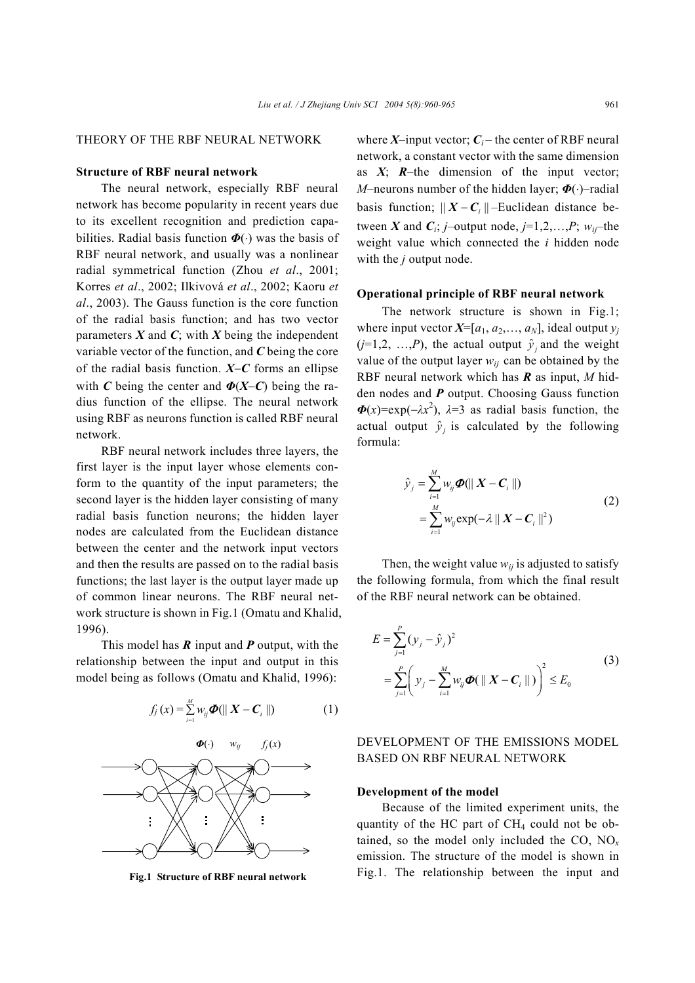# THEORY OF THE RBF NEURAL NETWORK

# **Structure of RBF neural network**

The neural network, especially RBF neural network has become popularity in recent years due to its excellent recognition and prediction capabilities. Radial basis function *Φ*(⋅) was the basis of RBF neural network, and usually was a nonlinear radial symmetrical function (Zhou *et al*., 2001; Korres *et al*., 2002; Ilkivová *et al*., 2002; Kaoru *et al*., 2003). The Gauss function is the core function of the radial basis function; and has two vector parameters  $X$  and  $C$ ; with  $X$  being the independent variable vector of the function, and *C* being the core of the radial basis function. *X*−*C* forms an ellipse with *C* being the center and  $\Phi(X-C)$  being the radius function of the ellipse. The neural network using RBF as neurons function is called RBF neural network.

RBF neural network includes three layers, the first layer is the input layer whose elements conform to the quantity of the input parameters; the second layer is the hidden layer consisting of many radial basis function neurons; the hidden layer nodes are calculated from the Euclidean distance between the center and the network input vectors and then the results are passed on to the radial basis functions; the last layer is the output layer made up of common linear neurons. The RBF neural network structure is shown in Fig.1 (Omatu and Khalid, 1996).

This model has *R* input and *P* output, with the relationship between the input and output in this model being as follows (Omatu and Khalid, 1996):



**Fig.1 Structure of RBF neural network** 

where  $X$ –input vector;  $C_i$ – the center of RBF neural network, a constant vector with the same dimension as  $X$ ;  $R$ –the dimension of the input vector; *M*–neurons number of the hidden layer; *Φ*(⋅)–radial basis function;  $|| X - C_i ||$  –Euclidean distance between *X* and  $C_i$ ; *j*–output node, *j*=1,2,...,*P*;  $w_{ij}$ –the weight value which connected the *i* hidden node with the *j* output node.

## **Operational principle of RBF neural network**

The network structure is shown in Fig.1; where input vector  $X=[a_1, a_2, \ldots, a_N]$ , ideal output  $y_i$  $(j=1,2, ..., P)$ , the actual output  $\hat{y}_i$  and the weight value of the output layer  $w_{ij}$  can be obtained by the RBF neural network which has *R* as input, *M* hidden nodes and *P* output. Choosing Gauss function  $\Phi(x) = \exp(-\lambda x^2)$ ,  $\lambda = 3$  as radial basis function, the actual output  $\hat{y}_i$  is calculated by the following formula:

$$
\hat{y}_j = \sum_{i=1}^M w_{ij} \boldsymbol{\Phi}(\| \boldsymbol{X} - \boldsymbol{C}_i \|)
$$
\n
$$
= \sum_{i=1}^M w_{ij} \exp(-\lambda \| \boldsymbol{X} - \boldsymbol{C}_i \|^2)
$$
\n(2)

Then, the weight value  $w_{ij}$  is adjusted to satisfy the following formula, from which the final result of the RBF neural network can be obtained.

$$
E = \sum_{j=1}^{P} (y_j - \hat{y}_j)^2
$$
  
= 
$$
\sum_{j=1}^{P} \left( y_j - \sum_{i=1}^{M} w_{ij} \boldsymbol{\Phi}(\| \mathbf{X} - \mathbf{C}_i \|) \right)^2 \le E_0
$$
 (3)

# DEVELOPMENT OF THE EMISSIONS MODEL BASED ON RBF NEURAL NETWORK

#### **Development of the model**

Because of the limited experiment units, the quantity of the HC part of  $CH<sub>4</sub>$  could not be obtained, so the model only included the CO, NO*<sup>x</sup>* emission. The structure of the model is shown in Fig.1. The relationship between the input and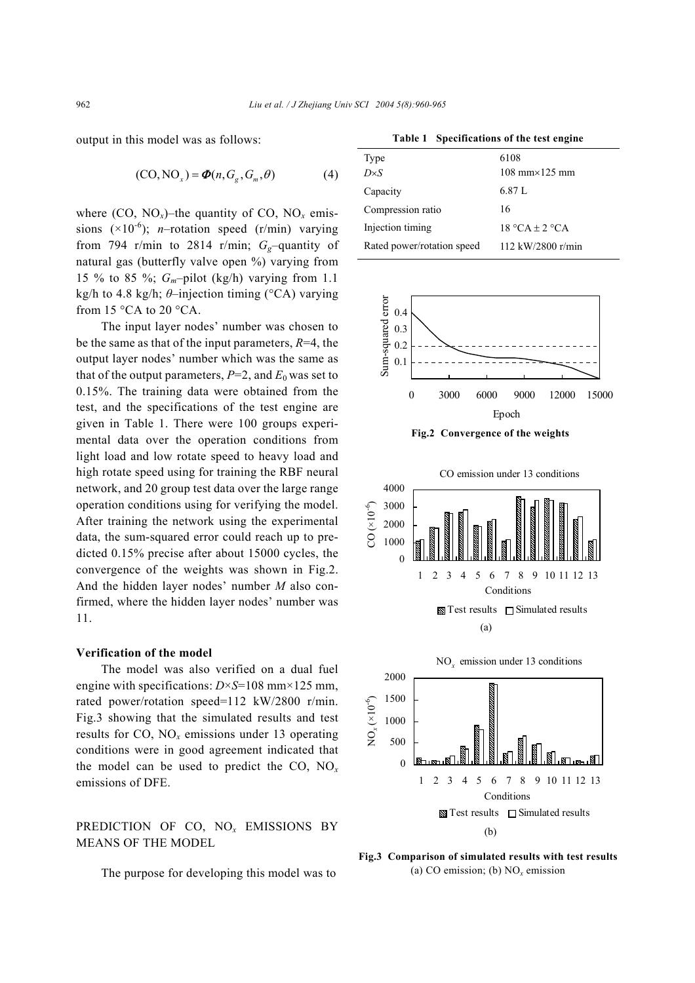output in this model was as follows:

$$
(CO, NOx) = \boldsymbol{\Phi}(n, Gg, Gm, \theta)
$$
 (4)

where (CO, NO<sub>x</sub>)–the quantity of CO, NO<sub>x</sub> emissions  $(\times 10^{-6})$ ; *n*-rotation speed (r/min) varying from 794 r/min to 2814 r/min;  $G_g$ -quantity of natural gas (butterfly valve open %) varying from 15 % to 85 %; *Gm*–pilot (kg/h) varying from 1.1 kg/h to 4.8 kg/h; *θ*–injection timing (°CA) varying from 15 °CA to 20 °CA.

The input layer nodes' number was chosen to be the same as that of the input parameters, *R*=4, the output layer nodes' number which was the same as that of the output parameters,  $P=2$ , and  $E_0$  was set to 0.15%. The training data were obtained from the test, and the specifications of the test engine are given in Table 1. There were 100 groups experimental data over the operation conditions from light load and low rotate speed to heavy load and high rotate speed using for training the RBF neural network, and 20 group test data over the large range operation conditions using for verifying the model. After training the network using the experimental data, the sum-squared error could reach up to predicted 0.15% precise after about 15000 cycles, the convergence of the weights was shown in Fig.2. And the hidden layer nodes' number *M* also confirmed, where the hidden layer nodes' number was 11.

#### **Verification of the model**

The model was also verified on a dual fuel engine with specifications:  $D \times S = 108$  mm $\times 125$  mm, rated power/rotation speed=112 kW/2800 r/min. Fig.3 showing that the simulated results and test results for CO,  $NO<sub>x</sub>$  emissions under 13 operating conditions were in good agreement indicated that the model can be used to predict the CO, NO*<sup>x</sup>* emissions of DFE.

PREDICTION OF CO, NO*x* EMISSIONS BY MEANS OF THE MODEL

The purpose for developing this model was to

**Table 1 Specifications of the test engine** 

| Type                       | 6108                                   |
|----------------------------|----------------------------------------|
| $D\times S$                | $108 \text{ mm} \times 125 \text{ mm}$ |
| Capacity                   | 6.87 L                                 |
| Compression ratio          | 16                                     |
| Injection timing           | $18 °CA \pm 2 °CA$                     |
| Rated power/rotation speed | 112 kW/2800 r/min                      |



**Fig.2 Convergence of the weights**



**Fig.3 Comparison of simulated results with test results** (a) CO emission; (b) NO*x* emission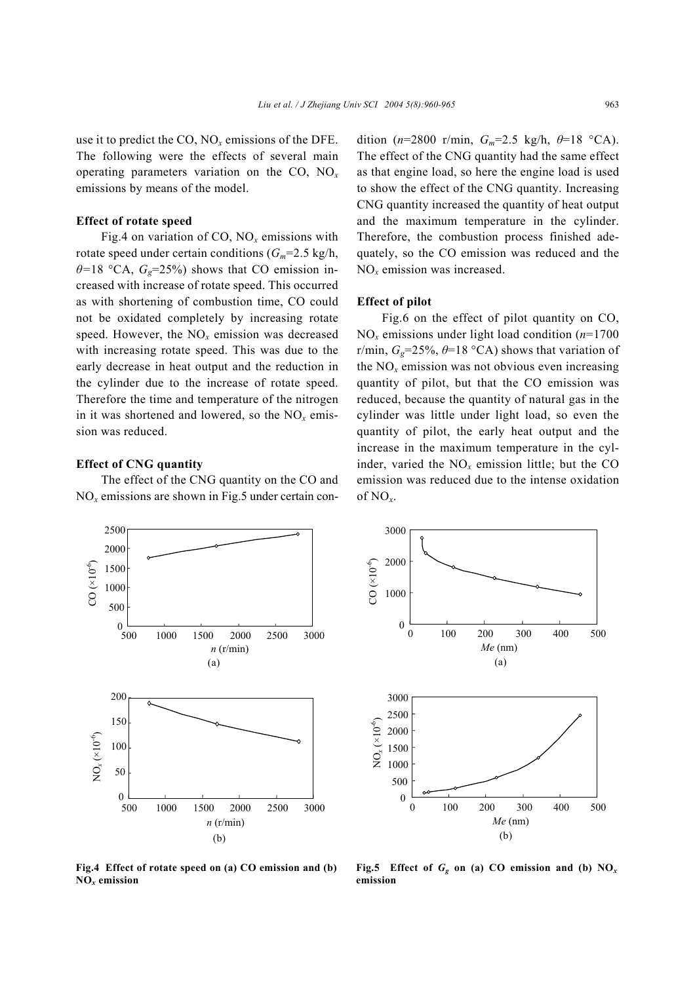use it to predict the CO,  $NO<sub>x</sub>$  emissions of the DFE. The following were the effects of several main operating parameters variation on the CO, NO*<sup>x</sup>* emissions by means of the model.

#### **Effect of rotate speed**

Fig.4 on variation of CO, NO*x* emissions with rotate speed under certain conditions  $(G_m=2.5 \text{ kg/h})$ ,  $\theta$ =18 °CA,  $G_e$ =25%) shows that CO emission increased with increase of rotate speed. This occurred as with shortening of combustion time, CO could not be oxidated completely by increasing rotate speed. However, the NO*x* emission was decreased with increasing rotate speed. This was due to the early decrease in heat output and the reduction in the cylinder due to the increase of rotate speed. Therefore the time and temperature of the nitrogen in it was shortened and lowered, so the  $NO<sub>x</sub>$  emission was reduced.

### **Effect of CNG quantity**

The effect of the CNG quantity on the CO and  $NO<sub>x</sub>$  emissions are shown in Fig.5 under certain condition ( $n=2800$  r/min,  $G_m=2.5$  kg/h,  $\theta=18$  °CA). The effect of the CNG quantity had the same effect as that engine load, so here the engine load is used to show the effect of the CNG quantity. Increasing CNG quantity increased the quantity of heat output and the maximum temperature in the cylinder. Therefore, the combustion process finished adequately, so the CO emission was reduced and the NO*x* emission was increased.

# **Effect of pilot**

Fig.6 on the effect of pilot quantity on CO, NO*x* emissions under light load condition (*n*=1700 r/min,  $G_g$ =25%,  $\theta$ =18 °CA) shows that variation of the  $NO<sub>x</sub>$  emission was not obvious even increasing quantity of pilot, but that the CO emission was reduced, because the quantity of natural gas in the cylinder was little under light load, so even the quantity of pilot, the early heat output and the increase in the maximum temperature in the cylinder, varied the  $NO<sub>x</sub>$  emission little; but the CO emission was reduced due to the intense oxidation of NO*x*.



**Fig.4 Effect of rotate speed on (a) CO emission and (b) NO***x* **emission**



**Fig.5** Effect of  $G_g$  on (a) CO emission and (b)  $NO_x$ **emission**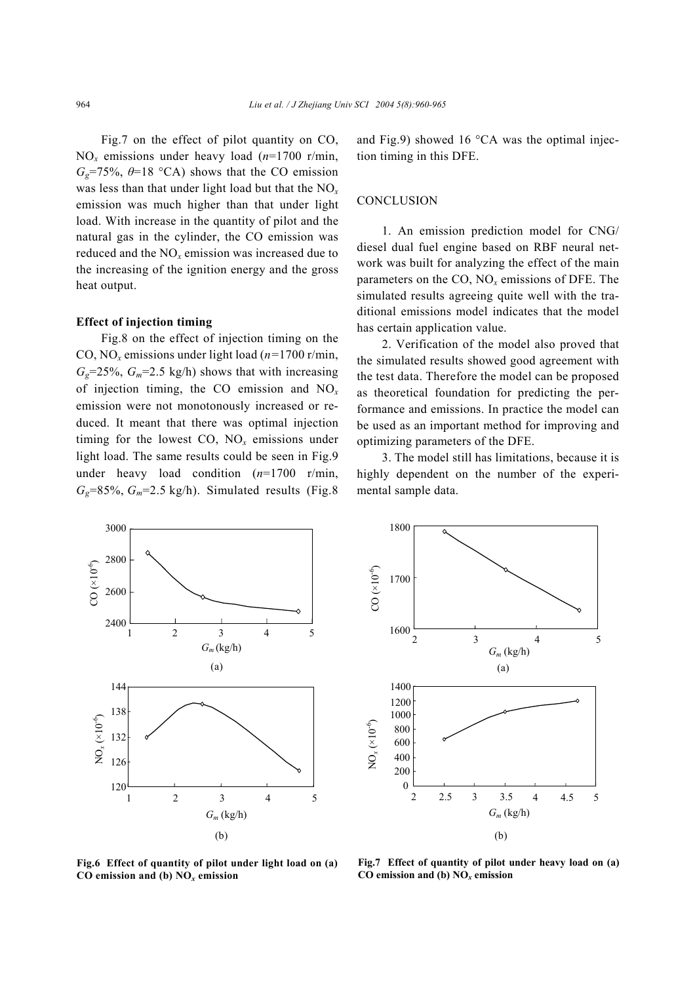Fig.7 on the effect of pilot quantity on CO, NO*x* emissions under heavy load (*n*=1700 r/min,  $G<sub>g</sub>=75\%, \theta=18$  °CA) shows that the CO emission was less than that under light load but that the NO*<sup>x</sup>* emission was much higher than that under light load. With increase in the quantity of pilot and the natural gas in the cylinder, the CO emission was reduced and the NO*x* emission was increased due to the increasing of the ignition energy and the gross heat output.

#### **Effect of injection timing**

Fig.8 on the effect of injection timing on the CO, NO*x* emissions under light load (*n=*1700 r/min,  $G<sub>g</sub>=25\%, G<sub>m</sub>=2.5$  kg/h) shows that with increasing of injection timing, the CO emission and NO*<sup>x</sup>* emission were not monotonously increased or reduced. It meant that there was optimal injection timing for the lowest CO, NO*x* emissions under light load. The same results could be seen in Fig.9 under heavy load condition (*n*=1700 r/min,  $G<sub>g</sub>=85\%, G<sub>m</sub>=2.5$  kg/h). Simulated results (Fig.8) and Fig.9) showed 16 °CA was the optimal injection timing in this DFE.

# **CONCLUSION**

1. An emission prediction model for CNG/ diesel dual fuel engine based on RBF neural network was built for analyzing the effect of the main parameters on the CO, NO*x* emissions of DFE. The simulated results agreeing quite well with the traditional emissions model indicates that the model has certain application value.

2. Verification of the model also proved that the simulated results showed good agreement with the test data. Therefore the model can be proposed as theoretical foundation for predicting the performance and emissions. In practice the model can be used as an important method for improving and optimizing parameters of the DFE.

3. The model still has limitations, because it is highly dependent on the number of the experimental sample data.





**Fig.6 Effect of quantity of pilot under light load on (a) CO emission and (b) NO***x* **emission**

**Fig.7 Effect of quantity of pilot under heavy load on (a) CO emission and (b) NO***x* **emission**